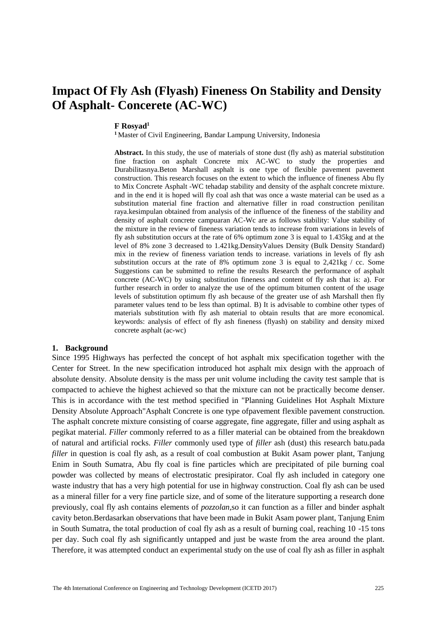# **Impact Of Fly Ash (Flyash) Fineness On Stability and Density Of Asphalt- Concerete (AC-WC)**

#### **F Rosyad1**

**<sup>1</sup>** Master of Civil Engineering, Bandar Lampung University, Indonesia

**Abstract.** In this study, the use of materials of stone dust (fly ash) as material substitution fine fraction on asphalt Concrete mix AC-WC to study the properties and Durabilitasnya.Beton Marshall asphalt is one type of flexible pavement pavement construction. This research focuses on the extent to which the influence of fineness Abu fly to Mix Concrete Asphalt -WC tehadap stability and density of the asphalt concrete mixture. and in the end it is hoped will fly coal ash that was once a waste material can be used as a substitution material fine fraction and alternative filler in road construction penilitan raya.kesimpulan obtained from analysis of the influence of the fineness of the stability and density of asphalt concrete campuaran AC-Wc are as follows stability: Value stability of the mixture in the review of fineness variation tends to increase from variations in levels of fly ash substitution occurs at the rate of 6% optimum zone 3 is equal to 1.435kg and at the level of 8% zone 3 decreased to 1.421kg.DensityValues Density (Bulk Density Standard) mix in the review of fineness variation tends to increase. variations in levels of fly ash substitution occurs at the rate of 8% optimum zone 3 is equal to 2,421kg / cc. Some Suggestions can be submitted to refine the results Research the performance of asphalt concrete (AC-WC) by using substitution fineness and content of fly ash that is: a). For further research in order to analyze the use of the optimum bitumen content of the usage levels of substitution optimum fly ash because of the greater use of ash Marshall then fly parameter values tend to be less than optimal. B) It is advisable to combine other types of materials substitution with fly ash material to obtain results that are more economical. keywords: analysis of effect of fly ash fineness (flyash) on stability and density mixed concrete asphalt (ac-wc)

### **1. Background**

Since 1995 Highways has perfected the concept of hot asphalt mix specification together with the Center for Street. In the new specification introduced hot asphalt mix design with the approach of absolute density. Absolute density is the mass per unit volume including the cavity test sample that is compacted to achieve the highest achieved so that the mixture can not be practically become denser. This is in accordance with the test method specified in "Planning Guidelines Hot Asphalt Mixture Density Absolute Approach"Asphalt Concrete is one type ofpavement flexible pavement construction. The asphalt concrete mixture consisting of coarse aggregate, fine aggregate, filler and using asphalt as pegikat material. *Filler* commonly referred to as a filler material can be obtained from the breakdown of natural and artificial rocks. *Filler* commonly used type of *filler* ash (dust) this research batu.pada *filler* in question is coal fly ash, as a result of coal combustion at Bukit Asam power plant, Tanjung Enim in South Sumatra, Abu fly coal is fine particles which are precipitated of pile burning coal powder was collected by means of electrostatic presipirator. Coal fly ash included in category one waste industry that has a very high potential for use in highway construction. Coal fly ash can be used as a mineral filler for a very fine particle size, and of some of the literature supporting a research done previously, coal fly ash contains elements of *pozzolan,*so it can function as a filler and binder asphalt cavity beton.Berdasarkan observations that have been made in Bukit Asam power plant, Tanjung Enim in South Sumatra, the total production of coal fly ash as a result of burning coal, reaching 10 -15 tons per day. Such coal fly ash significantly untapped and just be waste from the area around the plant. Therefore, it was attempted conduct an experimental study on the use of coal fly ash as filler in asphalt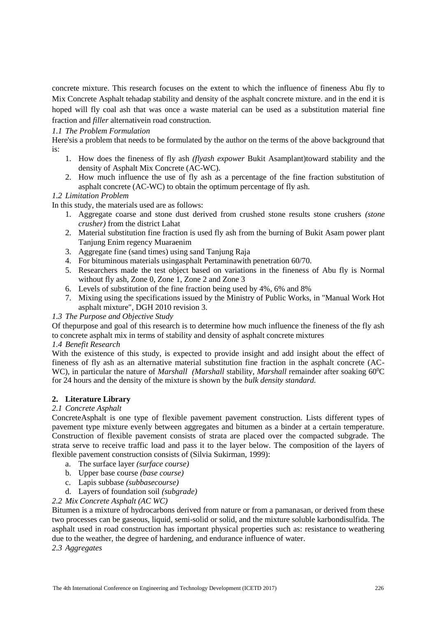concrete mixture. This research focuses on the extent to which the influence of fineness Abu fly to Mix Concrete Asphalt tehadap stability and density of the asphalt concrete mixture. and in the end it is hoped will fly coal ash that was once a waste material can be used as a substitution material fine fraction and *filler* alternativein road construction.

# *1.1 The Problem Formulation*

Here'sis a problem that needs to be formulated by the author on the terms of the above background that is:

- 1. How does the fineness of fly ash *(flyash expower* Bukit Asamplant)toward stability and the density of Asphalt Mix Concrete (AC-WC).
- 2. How much influence the use of fly ash as a percentage of the fine fraction substitution of asphalt concrete (AC-WC) to obtain the optimum percentage of fly ash.

# *1.2 Limitation Problem*

In this study, the materials used are as follows:

- 1. Aggregate coarse and stone dust derived from crushed stone results stone crushers *(stone crusher)* from the district Lahat
- 2. Material substitution fine fraction is used fly ash from the burning of Bukit Asam power plant Tanjung Enim regency Muaraenim
- 3. Aggregate fine (sand times) using sand Tanjung Raja
- 4. For bituminous materials usingasphalt Pertaminawith penetration 60/70.
- 5. Researchers made the test object based on variations in the fineness of Abu fly is Normal without fly ash, Zone 0, Zone 1, Zone 2 and Zone 3
- 6. Levels of substitution of the fine fraction being used by 4%, 6% and 8%
- 7. Mixing using the specifications issued by the Ministry of Public Works, in "Manual Work Hot asphalt mixture", DGH 2010 revision 3.

# *1.3 The Purpose and Objective Study*

Of thepurpose and goal of this research is to determine how much influence the fineness of the fly ash to concrete asphalt mix in terms of stability and density of asphalt concrete mixtures

### *1.4 Benefit Research*

With the existence of this study, is expected to provide insight and add insight about the effect of fineness of fly ash as an alternative material substitution fine fraction in the asphalt concrete (AC-WC), in particular the nature of *Marshall (Marshall stability, Marshall remainder after soaking 60<sup>o</sup>C* for 24 hours and the density of the mixture is shown by the *bulk density standard.*

# **2. Literature Library**

### *2.1 Concrete Asphalt*

ConcreteAsphalt is one type of flexible pavement pavement construction. Lists different types of pavement type mixture evenly between aggregates and bitumen as a binder at a certain temperature. Construction of flexible pavement consists of strata are placed over the compacted subgrade. The strata serve to receive traffic load and pass it to the layer below. The composition of the layers of flexible pavement construction consists of (Silvia Sukirman, 1999):

- a. The surface layer *(surface course)*
- b. Upper base course *(base course)*
- c. Lapis subbase *(subbasecourse)*
- d. Layers of foundation soil *(subgrade)*

# *2.2 Mix Concrete Asphalt (AC WC)*

Bitumen is a mixture of hydrocarbons derived from nature or from a pamanasan, or derived from these two processes can be gaseous, liquid, semi-solid or solid, and the mixture soluble karbondisulfida. The asphalt used in road construction has important physical properties such as: resistance to weathering due to the weather, the degree of hardening, and endurance influence of water.

# *2.3 Aggregates*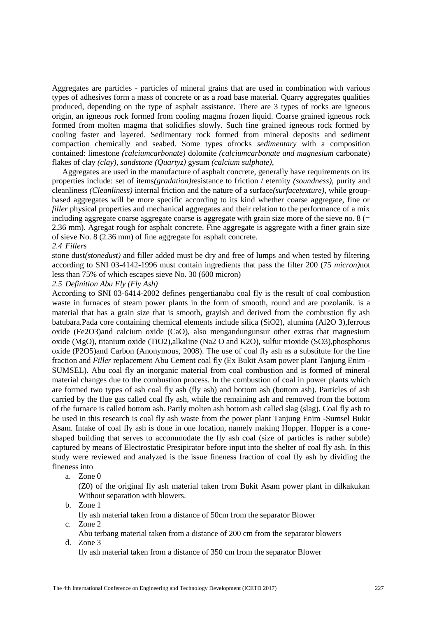Aggregates are particles - particles of mineral grains that are used in combination with various types of adhesives form a mass of concrete or as a road base material. Quarry aggregates qualities produced, depending on the type of asphalt assistance. There are 3 types of rocks are igneous origin, an igneous rock formed from cooling magma frozen liquid. Coarse grained igneous rock formed from molten magma that solidifies slowly. Such fine grained igneous rock formed by cooling faster and layered. Sedimentary rock formed from mineral deposits and sediment compaction chemically and seabed. Some types ofrocks *sedimentary* with a composition contained: limestone *(calciumcarbonate)* dolomite *(calciumcarbonate and magnesium* carbonate) flakes of clay *(clay), sandstone (Quartyz)* gysum *(calcium sulphate),*

Aggregates are used in the manufacture of asphalt concrete, generally have requirements on its properties include: set of items*(gradation)*resistance to friction / eternity *(soundness),* purity and cleanliness *(Cleanliness)* internal friction and the nature of a surface*(surfacetexture),* while groupbased aggregates will be more specific according to its kind whether coarse aggregate, fine or *filler* physical properties and mechanical aggregates and their relation to the performance of a mix including aggregate coarse aggregate coarse is aggregate with grain size more of the sieve no.  $8 (=$ 2.36 mm). Agregat rough for asphalt concrete. Fine aggregate is aggregate with a finer grain size of sieve No. 8 (2.36 mm) of fine aggregate for asphalt concrete.

## *2.4 Fillers*

stone dust*(stonedust)* and filler added must be dry and free of lumps and when tested by filtering according to SNI 03-4142-1996 must contain ingredients that pass the filter 200 (75 *micron)*not less than 75% of which escapes sieve No. 30 (600 micron)

#### *2.5 Definition Abu Fly (Fly Ash)*

According to SNI 03-6414-2002 defines pengertianabu coal fly is the result of coal combustion waste in furnaces of steam power plants in the form of smooth, round and are pozolanik. is a material that has a grain size that is smooth, grayish and derived from the combustion fly ash batubara.Pada core containing chemical elements include silica (SiO2), alumina (Al2O 3),ferrous oxide (Fe2O3)and calcium oxide (CaO), also mengandungunsur other extras that magnesium oxide (MgO), titanium oxide (TiO2),alkaline (Na2 O and K2O), sulfur trioxide (SO3),phosphorus oxide (P2O5)and Carbon (Anonymous, 2008). The use of coal fly ash as a substitute for the fine fraction and *Filler* replacement Abu Cement coal fly (Ex Bukit Asam power plant Tanjung Enim - SUMSEL). Abu coal fly an inorganic material from coal combustion and is formed of mineral material changes due to the combustion process. In the combustion of coal in power plants which are formed two types of ash coal fly ash (fly ash) and bottom ash (bottom ash). Particles of ash carried by the flue gas called coal fly ash, while the remaining ash and removed from the bottom of the furnace is called bottom ash. Partly molten ash bottom ash called slag (slag). Coal fly ash to be used in this research is coal fly ash waste from the power plant Tanjung Enim -Sumsel Bukit Asam. Intake of coal fly ash is done in one location, namely making Hopper. Hopper is a coneshaped building that serves to accommodate the fly ash coal (size of particles is rather subtle) captured by means of Electrostatic Presipirator before input into the shelter of coal fly ash. In this study were reviewed and analyzed is the issue fineness fraction of coal fly ash by dividing the fineness into

a. Zone 0

(Z0) of the original fly ash material taken from Bukit Asam power plant in dilkakukan Without separation with blowers.

b. Zone 1

fly ash material taken from a distance of 50cm from the separator Blower

c. Zone 2

Abu terbang material taken from a distance of 200 cm from the separator blowers d. Zone 3

fly ash material taken from a distance of 350 cm from the separator Blower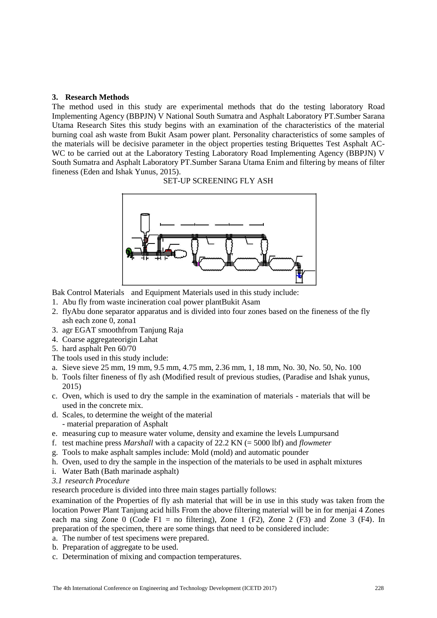### **3. Research Methods**

The method used in this study are experimental methods that do the testing laboratory Road Implementing Agency (BBPJN) V National South Sumatra and Asphalt Laboratory PT.Sumber Sarana Utama Research Sites this study begins with an examination of the characteristics of the material burning coal ash waste from Bukit Asam power plant. Personality characteristics of some samples of the materials will be decisive parameter in the object properties testing Briquettes Test Asphalt AC-WC to be carried out at the Laboratory Testing Laboratory Road Implementing Agency (BBPJN) V South Sumatra and Asphalt Laboratory PT.Sumber Sarana Utama Enim and filtering by means of filter fineness (Eden and Ishak Yunus, 2015).

SET-UP SCREENING FLY ASH



Bak Control Materials and Equipment Materials used in this study include:

- 1. Abu fly from waste incineration coal power plantBukit Asam
- 2. flyAbu done separator apparatus and is divided into four zones based on the fineness of the fly ash each zone 0, zona1
- 3. agr EGAT smoothfrom Tanjung Raja
- 4. Coarse aggregateorigin Lahat
- 5. hard asphalt Pen 60/70
- The tools used in this study include:
- a. Sieve sieve 25 mm, 19 mm, 9.5 mm, 4.75 mm, 2.36 mm, 1, 18 mm, No. 30, No. 50, No. 100
- b. Tools filter fineness of fly ash (Modified result of previous studies, (Paradise and Ishak yunus, 2015)
- c. Oven, which is used to dry the sample in the examination of materials materials that will be used in the concrete mix.
- d. Scales, to determine the weight of the material
	- material preparation of Asphalt
- e. measuring cup to measure water volume, density and examine the levels Lumpursand
- f. test machine press *Marshall* with a capacity of 22.2 KN (= 5000 lbf) and *flowmeter*
- g. Tools to make asphalt samples include: Mold (mold) and automatic pounder
- h. Oven, used to dry the sample in the inspection of the materials to be used in asphalt mixtures
- i. Water Bath (Bath marinade asphalt)
- *3.1 research Procedure*

research procedure is divided into three main stages partially follows:

examination of the Properties of fly ash material that will be in use in this study was taken from the location Power Plant Tanjung acid hills From the above filtering material will be in for menjai 4 Zones each ma sing Zone 0 (Code F1 = no filtering), Zone 1 (F2), Zone 2 (F3) and Zone 3 (F4). In preparation of the specimen, there are some things that need to be considered include:

- a. The number of test specimens were prepared.
- b. Preparation of aggregate to be used.
- c. Determination of mixing and compaction temperatures.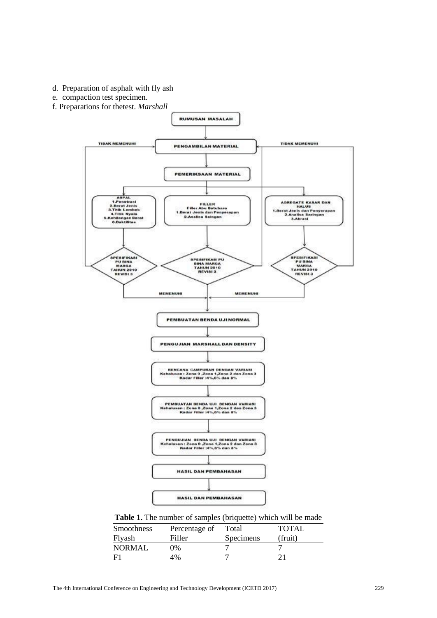- d. Preparation of asphalt with fly ash
- e. compaction test specimen.
- f. Preparations for thetest. *Marshall*



Table 1. The number of samples (briquette) which will be made

| Smoothness    | Percentage of | Total     | TOTAL   |
|---------------|---------------|-----------|---------|
| Flyash        | Filler        | Specimens | (fruit) |
| <b>NORMAL</b> | 0%            |           |         |
| F1            | 4%            |           |         |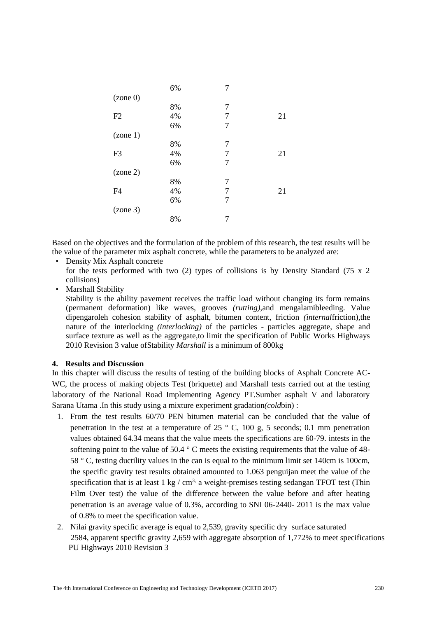|                | 6% | 7 |    |
|----------------|----|---|----|
| (zone 0)       |    |   |    |
|                | 8% | 7 |    |
| F2             | 4% | 7 | 21 |
|                | 6% | 7 |    |
| (zone 1)       |    |   |    |
|                | 8% | 7 |    |
| F <sub>3</sub> | 4% | 7 | 21 |
|                | 6% | 7 |    |
| (zone 2)       |    |   |    |
|                | 8% | 7 |    |
| F <sub>4</sub> | 4% | 7 | 21 |
|                | 6% | 7 |    |
| (zone 3)       |    |   |    |
|                | 8% | 7 |    |
|                |    |   |    |

Based on the objectives and the formulation of the problem of this research, the test results will be the value of the parameter mix asphalt concrete, while the parameters to be analyzed are:

- Density Mix Asphalt concrete for the tests performed with two (2) types of collisions is by Density Standard (75 x 2 collisions)
- Marshall Stability

Stability is the ability pavement receives the traffic load without changing its form remains (permanent deformation) like waves, grooves *(rutting),*and mengalamibleeding. Value dipengaroleh cohesion stability of asphalt, bitumen content, friction *(internal*friction),the nature of the interlocking *(interlocking)* of the particles - particles aggregate, shape and surface texture as well as the aggregate,to limit the specification of Public Works Highways 2010 Revision 3 value ofStability *Marshall* is a minimum of 800kg

### **4. Results and Discussion**

In this chapter will discuss the results of testing of the building blocks of Asphalt Concrete AC-WC, the process of making objects Test (briquette) and Marshall tests carried out at the testing laboratory of the National Road Implementing Agency PT.Sumber asphalt V and laboratory Sarana Utama .In this study using a mixture experiment gradation*(cold*bin) :

- 1. From the test results 60/70 PEN bitumen material can be concluded that the value of penetration in the test at a temperature of  $25 \degree$  C, 100 g, 5 seconds; 0.1 mm penetration values obtained 64.34 means that the value meets the specifications are 60-79. intests in the softening point to the value of 50.4 ° C meets the existing requirements that the value of 48- 58 ° C, testing ductility values in the can is equal to the minimum limit set 140cm is 100cm, the specific gravity test results obtained amounted to 1.063 penguijan meet the value of the specification that is at least  $1 \text{ kg } / \text{ cm}^3$ , a weight-premises testing sedangan TFOT test (Thin Film Over test) the value of the difference between the value before and after heating penetration is an average value of 0.3%, according to SNI 06-2440- 2011 is the max value of 0.8% to meet the specification value.
- 2. Nilai gravity specific average is equal to 2,539, gravity specific dry surface saturated 2584, apparent specific gravity 2,659 with aggregate absorption of 1,772% to meet specifications PU Highways 2010 Revision 3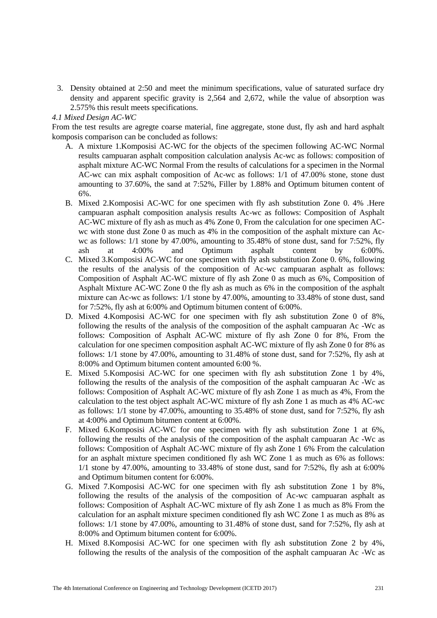3. Density obtained at 2:50 and meet the minimum specifications, value of saturated surface dry density and apparent specific gravity is 2,564 and 2,672, while the value of absorption was 2.575% this result meets specifications.

*4.1 Mixed Design AC-WC*

From the test results are agregte coarse material, fine aggregate, stone dust, fly ash and hard asphalt komposis comparison can be concluded as follows:

- A. A mixture 1.Komposisi AC-WC for the objects of the specimen following AC-WC Normal results campuaran asphalt composition calculation analysis Ac-wc as follows: composition of asphalt mixture AC-WC Normal From the results of calculations for a specimen in the Normal AC-wc can mix asphalt composition of Ac-wc as follows: 1/1 of 47.00% stone, stone dust amounting to 37.60%, the sand at 7:52%, Filler by 1.88% and Optimum bitumen content of 6%.
- B. Mixed 2.Komposisi AC-WC for one specimen with fly ash substitution Zone 0. 4% .Here campuaran asphalt composition analysis results Ac-wc as follows: Composition of Asphalt AC-WC mixture of fly ash as much as 4% Zone 0, From the calculation for one specimen ACwc with stone dust Zone 0 as much as 4% in the composition of the asphalt mixture can Acwc as follows: 1/1 stone by 47.00%, amounting to 35.48% of stone dust, sand for 7:52%, fly ash at 4:00% and Optimum asphalt content by 6:00%.
- C. Mixed 3.Komposisi AC-WC for one specimen with fly ash substitution Zone 0. 6%, following the results of the analysis of the composition of Ac-wc campuaran asphalt as follows: Composition of Asphalt AC-WC mixture of fly ash Zone 0 as much as 6%, Composition of Asphalt Mixture AC-WC Zone 0 the fly ash as much as 6% in the composition of the asphalt mixture can Ac-wc as follows: 1/1 stone by 47.00%, amounting to 33.48% of stone dust, sand for 7:52%, fly ash at 6:00% and Optimum bitumen content of 6:00%.
- D. Mixed 4.Komposisi AC-WC for one specimen with fly ash substitution Zone 0 of 8%, following the results of the analysis of the composition of the asphalt campuaran Ac -Wc as follows: Composition of Asphalt AC-WC mixture of fly ash Zone 0 for 8%, From the calculation for one specimen composition asphalt AC-WC mixture of fly ash Zone 0 for 8% as follows: 1/1 stone by 47.00%, amounting to 31.48% of stone dust, sand for 7:52%, fly ash at 8:00% and Optimum bitumen content amounted 6:00 %.
- E. Mixed 5.Komposisi AC-WC for one specimen with fly ash substitution Zone 1 by 4%, following the results of the analysis of the composition of the asphalt campuaran Ac -Wc as follows: Composition of Asphalt AC-WC mixture of fly ash Zone 1 as much as 4%, From the calculation to the test object asphalt AC-WC mixture of fly ash Zone 1 as much as 4% AC-wc as follows: 1/1 stone by 47.00%, amounting to 35.48% of stone dust, sand for 7:52%, fly ash at 4:00% and Optimum bitumen content at 6:00%.
- F. Mixed 6.Komposisi AC-WC for one specimen with fly ash substitution Zone 1 at 6%, following the results of the analysis of the composition of the asphalt campuaran Ac -Wc as follows: Composition of Asphalt AC-WC mixture of fly ash Zone 1 6% From the calculation for an asphalt mixture specimen conditioned fly ash WC Zone 1 as much as 6% as follows: 1/1 stone by 47.00%, amounting to 33.48% of stone dust, sand for 7:52%, fly ash at 6:00% and Optimum bitumen content for 6:00%.
- G. Mixed 7.Komposisi AC-WC for one specimen with fly ash substitution Zone 1 by 8%, following the results of the analysis of the composition of Ac-wc campuaran asphalt as follows: Composition of Asphalt AC-WC mixture of fly ash Zone 1 as much as 8% From the calculation for an asphalt mixture specimen conditioned fly ash WC Zone 1 as much as 8% as follows: 1/1 stone by 47.00%, amounting to 31.48% of stone dust, sand for 7:52%, fly ash at 8:00% and Optimum bitumen content for 6:00%.
- H. Mixed 8.Komposisi AC-WC for one specimen with fly ash substitution Zone 2 by 4%, following the results of the analysis of the composition of the asphalt campuaran Ac -Wc as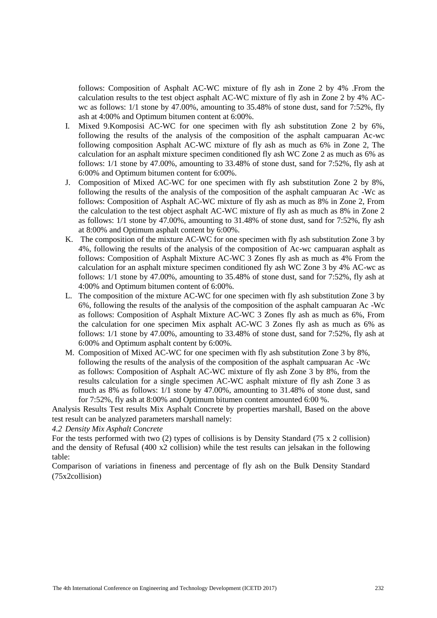follows: Composition of Asphalt AC-WC mixture of fly ash in Zone 2 by 4% .From the calculation results to the test object asphalt AC-WC mixture of fly ash in Zone 2 by 4% ACwc as follows: 1/1 stone by 47.00%, amounting to 35.48% of stone dust, sand for 7:52%, fly ash at 4:00% and Optimum bitumen content at 6:00%.

- I. Mixed 9.Komposisi AC-WC for one specimen with fly ash substitution Zone 2 by 6%, following the results of the analysis of the composition of the asphalt campuaran Ac-wc following composition Asphalt AC-WC mixture of fly ash as much as 6% in Zone 2, The calculation for an asphalt mixture specimen conditioned fly ash WC Zone 2 as much as 6% as follows: 1/1 stone by 47.00%, amounting to 33.48% of stone dust, sand for 7:52%, fly ash at 6:00% and Optimum bitumen content for 6:00%.
- J. Composition of Mixed AC-WC for one specimen with fly ash substitution Zone 2 by 8%, following the results of the analysis of the composition of the asphalt campuaran Ac -Wc as follows: Composition of Asphalt AC-WC mixture of fly ash as much as 8% in Zone 2, From the calculation to the test object asphalt AC-WC mixture of fly ash as much as 8% in Zone 2 as follows: 1/1 stone by 47.00%, amounting to 31.48% of stone dust, sand for 7:52%, fly ash at 8:00% and Optimum asphalt content by 6:00%.
- K. The composition of the mixture AC-WC for one specimen with fly ash substitution Zone 3 by 4%, following the results of the analysis of the composition of Ac-wc campuaran asphalt as follows: Composition of Asphalt Mixture AC-WC 3 Zones fly ash as much as 4% From the calculation for an asphalt mixture specimen conditioned fly ash WC Zone 3 by 4% AC-wc as follows: 1/1 stone by 47.00%, amounting to 35.48% of stone dust, sand for 7:52%, fly ash at 4:00% and Optimum bitumen content of 6:00%.
- L. The composition of the mixture AC-WC for one specimen with fly ash substitution Zone 3 by 6%, following the results of the analysis of the composition of the asphalt campuaran Ac -Wc as follows: Composition of Asphalt Mixture AC-WC 3 Zones fly ash as much as 6%, From the calculation for one specimen Mix asphalt AC-WC 3 Zones fly ash as much as 6% as follows: 1/1 stone by 47.00%, amounting to 33.48% of stone dust, sand for 7:52%, fly ash at 6:00% and Optimum asphalt content by 6:00%.
- M. Composition of Mixed AC-WC for one specimen with fly ash substitution Zone 3 by 8%, following the results of the analysis of the composition of the asphalt campuaran Ac -Wc as follows: Composition of Asphalt AC-WC mixture of fly ash Zone 3 by 8%, from the results calculation for a single specimen AC-WC asphalt mixture of fly ash Zone 3 as much as 8% as follows: 1/1 stone by 47.00%, amounting to 31.48% of stone dust, sand for 7:52%, fly ash at 8:00% and Optimum bitumen content amounted 6:00 %.

Analysis Results Test results Mix Asphalt Concrete by properties marshall, Based on the above test result can be analyzed parameters marshall namely:

*4.2 Density Mix Asphalt Concrete*

For the tests performed with two (2) types of collisions is by Density Standard (75 x 2 collision) and the density of Refusal (400 x2 collision) while the test results can jelsakan in the following table:

Comparison of variations in fineness and percentage of fly ash on the Bulk Density Standard (75x2collision)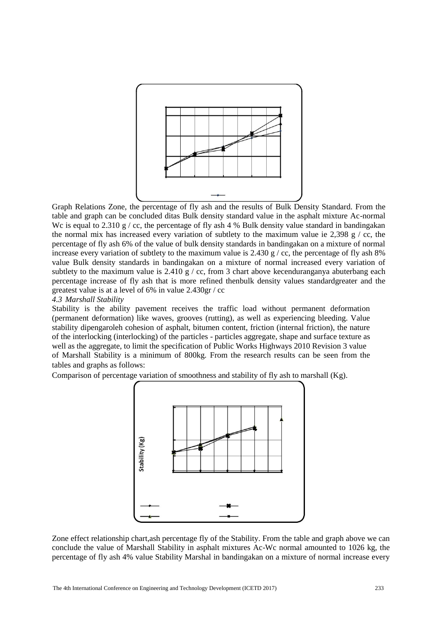

Graph Relations Zone, the percentage of fly ash and the results of Bulk Density Standard. From the table and graph can be concluded ditas Bulk density standard value in the asphalt mixture Ac-normal We is equal to  $2.310 \text{ g}$  / cc, the percentage of fly ash 4 % Bulk density value standard in bandingakan the normal mix has increased every variation of subtlety to the maximum value ie 2,398 g / cc, the percentage of fly ash 6% of the value of bulk density standards in bandingakan on a mixture of normal increase every variation of subtlety to the maximum value is 2.430 g / cc, the percentage of fly ash 8% value Bulk density standards in bandingakan on a mixture of normal increased every variation of subtlety to the maximum value is  $2.410 \frac{9}{5}$  / cc, from 3 chart above kecenduranganya abuterbang each percentage increase of fly ash that is more refined thenbulk density values standardgreater and the greatest value is at a level of 6% in value 2.430gr / cc

*4.3 Marshall Stability*

Stability is the ability pavement receives the traffic load without permanent deformation (permanent deformation) like waves, grooves (rutting), as well as experiencing bleeding. Value stability dipengaroleh cohesion of asphalt, bitumen content, friction (internal friction), the nature of the interlocking (interlocking) of the particles - particles aggregate, shape and surface texture as well as the aggregate, to limit the specification of Public Works Highways 2010 Revision 3 value of Marshall Stability is a minimum of 800kg. From the research results can be seen from the tables and graphs as follows:

Comparison of percentage variation of smoothness and stability of fly ash to marshall  $(Kg)$ .



Zone effect relationship chart,ash percentage fly of the Stability. From the table and graph above we can conclude the value of Marshall Stability in asphalt mixtures Ac-Wc normal amounted to 1026 kg, the percentage of fly ash 4% value Stability Marshal in bandingakan on a mixture of normal increase every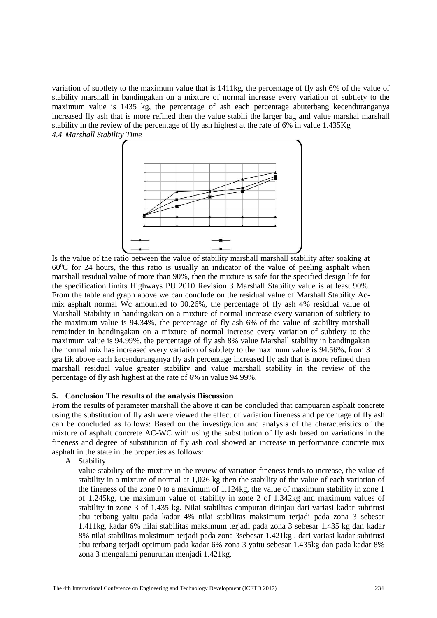variation of subtlety to the maximum value that is 1411kg, the percentage of fly ash 6% of the value of stability marshall in bandingakan on a mixture of normal increase every variation of subtlety to the maximum value is 1435 kg, the percentage of ash each percentage abuterbang kecenduranganya increased fly ash that is more refined then the value stabili the larger bag and value marshal marshall stability in the review of the percentage of fly ash highest at the rate of 6% in value 1.435Kg *4.4 Marshall Stability Time*



Is the value of the ratio between the value of stability marshall marshall stability after soaking at  $60\degree$ C for 24 hours, the this ratio is usually an indicator of the value of peeling asphalt when marshall residual value of more than 90%, then the mixture is safe for the specified design life for the specification limits Highways PU 2010 Revision 3 Marshall Stability value is at least 90%. From the table and graph above we can conclude on the residual value of Marshall Stability Acmix asphalt normal Wc amounted to 90.26%, the percentage of fly ash 4% residual value of Marshall Stability in bandingakan on a mixture of normal increase every variation of subtlety to the maximum value is 94.34%, the percentage of fly ash 6% of the value of stability marshall remainder in bandingakan on a mixture of normal increase every variation of subtlety to the maximum value is 94.99%, the percentage of fly ash 8% value Marshall stability in bandingakan the normal mix has increased every variation of subtlety to the maximum value is 94.56%, from 3 gra fik above each kecenduranganya fly ash percentage increased fly ash that is more refined then marshall residual value greater stability and value marshall stability in the review of the percentage of fly ash highest at the rate of 6% in value 94.99%.

#### **5. Conclusion The results of the analysis Discussion**

From the results of parameter marshall the above it can be concluded that campuaran asphalt concrete using the substitution of fly ash were viewed the effect of variation fineness and percentage of fly ash can be concluded as follows: Based on the investigation and analysis of the characteristics of the mixture of asphalt concrete AC-WC with using the substitution of fly ash based on variations in the fineness and degree of substitution of fly ash coal showed an increase in performance concrete mix asphalt in the state in the properties as follows:

A. Stability

value stability of the mixture in the review of variation fineness tends to increase, the value of stability in a mixture of normal at 1,026 kg then the stability of the value of each variation of the fineness of the zone 0 to a maximum of 1.124kg, the value of maximum stability in zone 1 of 1.245kg, the maximum value of stability in zone 2 of 1.342kg and maximum values of stability in zone 3 of 1,435 kg. Nilai stabilitas campuran ditinjau dari variasi kadar subtitusi abu terbang yaitu pada kadar 4% nilai stabilitas maksimum terjadi pada zona 3 sebesar 1.411kg, kadar 6% nilai stabilitas maksimum terjadi pada zona 3 sebesar 1.435 kg dan kadar 8% nilai stabilitas maksimum terjadi pada zona 3sebesar 1.421kg . dari variasi kadar subtitusi abu terbang terjadi optimum pada kadar 6% zona 3 yaitu sebesar 1.435kg dan pada kadar 8% zona 3 mengalami penurunan menjadi 1.421kg.